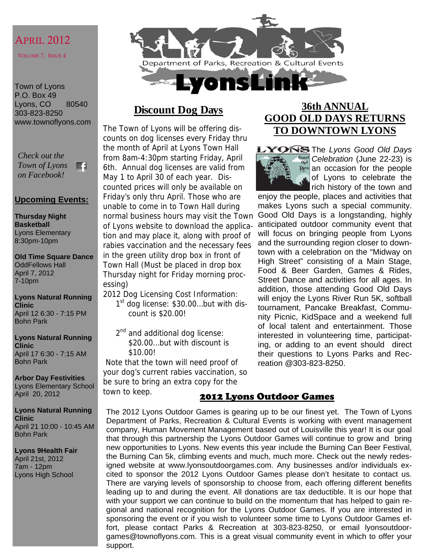# APRIL 2012

VOLUME 7, ISSUE 4

Town of Lyons P.O. Box 49 Lyons, CO 80540 303-823-8250 www.townoflyons.com

*Check out the Town of Lyons*  m *on Facebook!* 

#### **Upcoming Events:**

**Thursday Night Basketball**  Lyons Elementary 8:30pm-10pm

**Old Time Square Dance**  OddFellows Hall April 7, 2012 7-10pm

**Lyons Natural Running Clinic**  April 12 6:30 - 7:15 PM Bohn Park

**Lyons Natural Running Clinic**  April 17 6:30 - 7:15 AM Bohn Park

**Arbor Day Festivities**  Lyons Elementary School April 20, 2012

**Lyons Natural Running Clinic**  April 21 10:00 - 10:45 AM Bohn Park

**Lyons 9Health Fair**  April 21st, 2012 7am - 12pm Lyons High School



# **Discount Dog Days**

The Town of Lyons will be offering discounts on dog licenses every Friday thru the month of April at Lyons Town Hall from 8am-4:30pm starting Friday, April 6th. Annual dog licenses are valid from May 1 to April 30 of each year. Discounted prices will only be available on Friday's only thru April. Those who are unable to come in to Town Hall during normal business hours may visit the Town of Lyons website to download the application and may place it, along with proof of rabies vaccination and the necessary fees in the green utility drop box in front of Town Hall (Must be placed in drop box Thursday night for Friday morning processing)

2012 Dog Licensing Cost Information:

- $1<sup>st</sup>$  dog license: \$30.00...but with discount is \$20.00!
- 2<sup>nd</sup> and additional dog license: \$20.00…but with discount is \$10.00!

 Note that the town will need proof of your dog's current rabies vaccination, so be sure to bring an extra copy for the town to keep.

# **36th ANNUAL GOOD OLD DAYS RETURNS TO DOWNTOWN LYONS**



LYONS The Lyons Good Old Days *Celebration* (June 22-23) is **Pays** an occasion for the people of Lyons to celebrate the rich history of the town and

enjoy the people, places and activities that makes Lyons such a special community. Good Old Days is a longstanding, highly anticipated outdoor community event that will focus on bringing people from Lyons and the surrounding region closer to downtown with a celebration on the "Midway on High Street" consisting of a Main Stage, Food & Beer Garden, Games & Rides, Street Dance and activities for all ages. In addition, those attending Good Old Days will enjoy the Lyons River Run 5K, softball tournament, Pancake Breakfast, Community Picnic, KidSpace and a weekend full of local talent and entertainment. Those interested in volunteering time, participating, or adding to an event should direct their questions to Lyons Parks and Recreation @303-823-8250.

#### 2012 Lyons Outdoor Games

The 2012 Lyons Outdoor Games is gearing up to be our finest yet. The Town of Lyons Department of Parks, Recreation & Cultural Events is working with event management company, Human Movement Management based out of Louisville this year! It is our goal that through this partnership the Lyons Outdoor Games will continue to grow and bring new opportunities to Lyons. New events this year include the Burning Can Beer Festival, the Burning Can 5k, climbing events and much, much more. Check out the newly redesigned website at www.lyonsoutdoorgames.com. Any businesses and/or individuals excited to sponsor the 2012 Lyons Outdoor Games please don't hesitate to contact us. There are varying levels of sponsorship to choose from, each offering different benefits leading up to and during the event. All donations are tax deductible. It is our hope that with your support we can continue to build on the momentum that has helped to gain regional and national recognition for the Lyons Outdoor Games. If you are interested in sponsoring the event or if you wish to volunteer some time to Lyons Outdoor Games effort, please contact Parks & Recreation at 303-823-8250, or email lyonsoutdoorgames@townoflyons.com. This is a great visual community event in which to offer your support.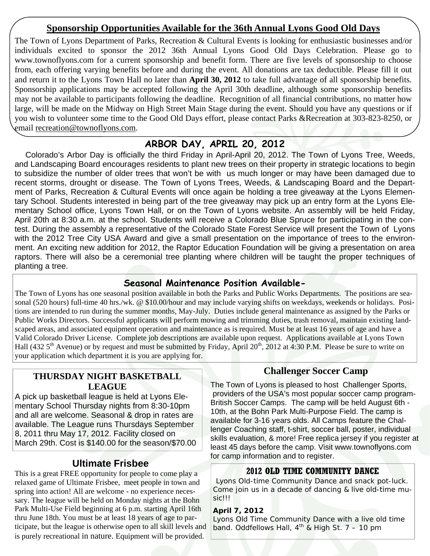### **Sponsorship Opportunities Available for the 36th Annual Lyons Good Old Days**

The Town of Lyons Department of Parks, Recreation & Cultural Events is looking for enthusiastic businesses and/or individuals excited to sponsor the 2012 36th Annual Lyons Good Old Days Celebration. Please go to www.townoflyons.com for a current sponsorship and benefit form. There are five levels of sponsorship to choose from, each offering varying benefits before and during the event. All donations are tax deductible. Please fill it out and return it to the Lyons Town Hall no later than **April 30, 2012** to take full advantage of all sponsorship benefits. Sponsorship applications may be accepted following the April 30th deadline, although some sponsorship benefits may not be available to participants following the deadline. Recognition of all financial contributions, no matter how large, will be made on the Midway on High Street Main Stage during the event. Should you have any questions or if you wish to volunteer some time to the Good Old Days effort, please contact Parks &Recreation at 303-823-8250, or email recreation@townoflyons.com.

# **ARBOR DAY, APRIL 20, 2012**

 Colorado's Arbor Day is officially the third Friday in April-April 20, 2012. The Town of Lyons Tree, Weeds, and Landscaping Board encourages residents to plant new trees on their property in strategic locations to begin to subsidize the number of older trees that won't be with us much longer or may have been damaged due to recent storms, drought or disease. The Town of Lyons Trees, Weeds, & Landscaping Board and the Department of Parks, Recreation & Cultural Events will once again be holding a tree giveaway at the Lyons Elementary School. Students interested in being part of the tree giveaway may pick up an entry form at the Lyons Elementary School office, Lyons Town Hall, or on the Town of Lyons website. An assembly will be held Friday, April 20th at 8:30 a.m. at the school. Students will receive a Colorado Blue Spruce for participating in the contest. During the assembly a representative of the Colorado State Forest Service will present the Town of Lyons with the 2012 Tree City USA Award and give a small presentation on the importance of trees to the environment. An exciting new addition for 2012, the Raptor Education Foundation will be giving a presentation on area raptors. There will also be a ceremonial tree planting where children will be taught the proper techniques of planting a tree.

### **Seasonal Maintenance Position Available-**

The Town of Lyons has one seasonal position available in both the Parks and Public Works Departments. The positions are seasonal (520 hours) full-time 40 hrs./wk. @ \$10.00/hour and may include varying shifts on weekdays, weekends or holidays. Positions are intended to run during the summer months, May-July. Duties include general maintenance as assigned by the Parks or Public Works Directors. Successful applicants will perform mowing and trimming duties, trash removal, maintain existing landscaped areas, and associated equipment operation and maintenance as is required. Must be at least 16 years of age and have a Valid Colorado Driver License. Complete job descriptions are available upon request. Applications available at Lyons Town Hall (432  $5<sup>th</sup>$  Avenue) or by request and must be submitted by Friday, April 20<sup>th</sup>, 2012 at 4:30 P.M. Please be sure to write on your application which department it is you are applying for.

#### **THURSDAY NIGHT BASKETBALL LEAGUE**

A pick up basketball league is held at Lyons Elementary School Thursday nights from 8:30-10pm and all are welcome. Seasonal & drop in rates are available. The League runs Thursdays September 8, 2011 thru May 17, 2012. Facility closed on March 29th. Cost is \$140.00 for the season/\$70.00

### **Ultimate Frisbee**

This is a great FREE opportunity for people to come play a relaxed game of Ultimate Frisbee, meet people in town and spring into action! All are welcome - no experience necessary. The league will be held on Monday nights at the Bohn Park Multi-Use Field beginning at 6 p.m. starting April 16th thru June 18th. You must be at least 18 years of age to participate, but the league is otherwise open to all skill levels and is purely recreational in nature. Equipment will be provided.

#### **Challenger Soccer Camp**

The Town of Lyons is pleased to host Challenger Sports, providers of the USA's most popular soccer camp program-British Soccer Camps. The camp will be held August 6th - 10th, at the Bohn Park Multi-Purpose Field. The camp is available for 3-16 years olds. All Camps feature the Challenger Coaching staff, t-shirt, soccer ball, poster, individual skills evaluation, & more! Free replica jersey if you register at least 45 days before the camp. Visit www.townoflyons.com for camp information and to register.

#### **2012 OLD TIME COMMUNITY DANCE**

Lyons Old-time Community Dance and snack pot-luck. Come join us in a decade of dancing & live old-time music!!!

#### **April 7, 2012**

Lyons Old Time Community Dance with a live old time band. Oddfellows Hall,  $4^{th}$  & High St. 7 – 10 pm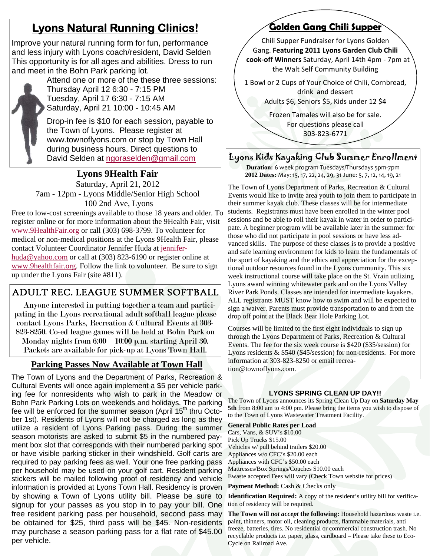# **Lyons Natural Running Clinics!**

Improve your natural running form for fun, performance and less injury with Lyons coach/resident, David Selden This opportunity is for all ages and abilities. Dress to run and meet in the Bohn Park parking lot.



Attend one or more of the these three sessions: Thursday April 12 6:30 - 7:15 PM Tuesday, April 17 6:30 - 7:15 AM Saturday, April 21 10:00 - 10:45 AM

Drop-in fee is \$10 for each session, payable to the Town of Lyons. Please register at www.townoflyons.com or stop by Town Hall during business hours. Direct questions to David Selden at ngoraselden@gmail.com

#### **Lyons 9Health Fair**

Saturday, April 21, 2012 7am - 12pm - Lyons Middle/Senior High School 100 2nd Ave, Lyons

Free to low-cost screenings available to those 18 years and older. To register online or for more information about the 9Health Fair, visit www.9HealthFair.org or call (303) 698-3799. To volunteer for medical or non-medical positions at the Lyons 9Health Fair, please contact Volunteer Coordinator Jennifer Huda at jenniferhuda@yahoo.com or call at (303) 823-6190 or register online at www.9healthfair.org. Follow the link to volunteer. Be sure to sign up under the Lyons Fair (site #811).

# ADULT REC. LEAGUE SUMMER SOFTBALL

 Anyone interested in putting together a team and participating in the Lyons recreational adult softball league please contact Lyons Parks, Recreation & Cultural Events at 303- 823-8250. Co-ed league games will be held at Bohn Park on Monday nights from 6:00—10:00 p.m. starting April 30.

Packets are available for pick-up at Lyons Town Hall.

#### **Parking Passes Now Available at Town Hall**

The Town of Lyons and the Department of Parks, Recreation & Cultural Events will once again implement a \$5 per vehicle parking fee for nonresidents who wish to park in the Meadow or Bohn Park Parking Lots on weekends and holidays. The parking fee will be enforced for the summer season (April  $15<sup>th</sup>$  thru October 1st). Residents of Lyons will not be charged as long as they utilize a resident of Lyons Parking pass. During the summer season motorists are asked to submit \$5 in the numbered payment box slot that corresponds with their numbered parking spot or have visible parking sticker in their windshield. Golf carts are required to pay parking fees as well. Your one free parking pass per household may be used on your golf cart. Resident parking stickers will be mailed following proof of residency and vehicle information is provided at Lyons Town Hall. Residency is proven by showing a Town of Lyons utility bill. Please be sure to signup for your passes as you stop in to pay your bill. One free resident parking pass per household, second pass may be obtained for \$25, third pass will be \$45. Non-residents may purchase a season parking pass for a flat rate of \$45.00 per vehicle.

# **Golden Gang Chili Supper**

Chili Supper Fundraiser for Lyons Golden Gang. **Featuring 2011 Lyons Garden Club Chili cook‐off Winners** Saturday, April 14th 4pm ‐ 7pm at the Walt Self Community Building

1 Bowl or 2 Cups of Your Choice of Chili, Cornbread,

drink and dessert Adults \$6, Seniors \$5, Kids under 12 \$4

Frozen Tamales will also be for sale. For questions please call 303‐823‐6771

#### Lyons Kids Kayaking Club Summer Enrollment

**Duration:** 6 week program Tuesdays/Thursdays 5pm‐7pm **2012 Dates:** May: 15, 17, 22, 24, 29, 31 June: 5, 7, 12, 14, 19, 21

The Town of Lyons Department of Parks, Recreation & Cultural Events would like to invite area youth to join them to participate in their summer kayak club. These classes will be for intermediate students. Registrants must have been enrolled in the winter pool sessions and be able to roll their kayak in water in order to participate. A beginner program will be available later in the summer for those who did not participate in pool sessions or have less advanced skills. The purpose of these classes is to provide a positive and safe learning environment for kids to learn the fundamentals of the sport of kayaking and the ethics and appreciation for the exceptional outdoor resources found in the Lyons community. This six week instructional course will take place on the St. Vrain utilizing Lyons award winning whitewater park and on the Lyons Valley River Park Ponds. Classes are intended for intermediate kayakers. ALL registrants MUST know how to swim and will be expected to sign a waiver. Parents must provide transportation to and from the drop off point at the Black Bear Hole Parking Lot.

Courses will be limited to the first eight individuals to sign up through the Lyons Department of Parks, Recreation & Cultural Events. The fee for the six week course is \$420 (\$35/session) for Lyons residents & \$540 (\$45/session) for non-residents. For more information at 303-823-8250 or email recreation@townoflyons.com.

#### **LYONS SPRING CLEAN UP DAY!!**

The Town of Lyons announces its Spring Clean Up Day on **Saturday May 5th** from 8:00 am to 4:00 pm. Please bring the items you wish to dispose of to the Town of Lyons Wastewater Treatment Facility.

**General Public Rates per Load**  Cars, Vans, & SUV's \$10.00 Pick Up Trucks \$15.00 Vehicles w/ pull behind trailers \$20.00 Appliances w/o CFC's \$20.00 each Appliances with CFC's \$50.00 each Mattresses/Box Springs/Couches \$10.00 each Ewaste accepted Fees will vary (Check Town website for prices)

Payment Method: Cash & Checks only

**Identification Required:** A copy of the resident's utility bill for verification of residency will be required.

**The Town will** *not accept* **the following:** Household hazardous waste i.e. paint, thinners, motor oil, cleaning products, flammable materials, anti freeze, batteries, tires. No residential or commercial construction trash. No recyclable products i.e. paper, glass, cardboard – Please take these to Eco-Cycle on Railroad Ave.